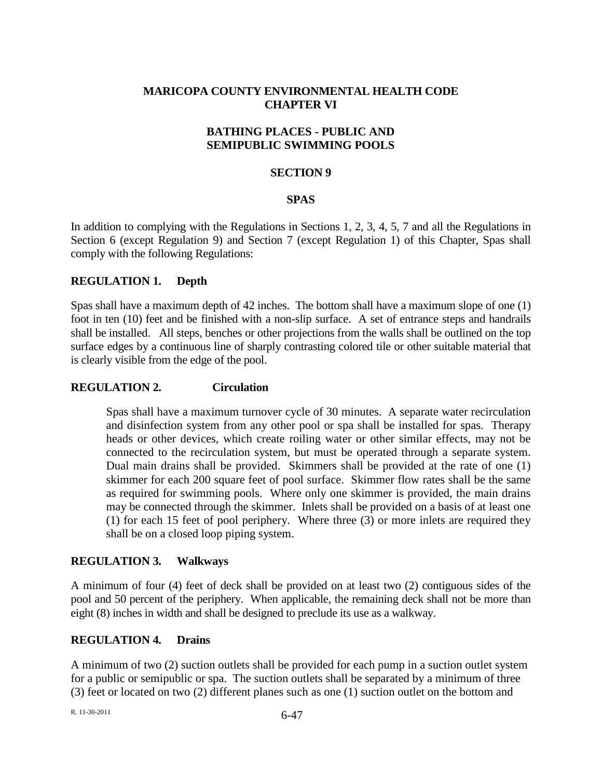# **MARICOPA COUNTY ENVIRONMENTAL HEALTH CODE CHAPTER VI**

## **BATHING PLACES - PUBLIC AND SEMIPUBLIC SWIMMING POOLS**

### **SECTION 9**

### **SPAS**

In addition to complying with the Regulations in Sections 1, 2, 3, 4, 5, 7 and all the Regulations in Section 6 (except Regulation 9) and Section 7 (except Regulation 1) of this Chapter, Spas shall comply with the following Regulations:

## **REGULATION 1. Depth**

Spas shall have a maximum depth of 42 inches. The bottom shall have a maximum slope of one (1) foot in ten (10) feet and be finished with a non-slip surface. A set of entrance steps and handrails shall be installed. All steps, benches or other projections from the walls shall be outlined on the top surface edges by a continuous line of sharply contrasting colored tile or other suitable material that is clearly visible from the edge of the pool.

#### **REGULATION 2. Circulation**

Spas shall have a maximum turnover cycle of 30 minutes. A separate water recirculation and disinfection system from any other pool or spa shall be installed for spas. Therapy heads or other devices, which create roiling water or other similar effects, may not be connected to the recirculation system, but must be operated through a separate system. Dual main drains shall be provided. Skimmers shall be provided at the rate of one (1) skimmer for each 200 square feet of pool surface. Skimmer flow rates shall be the same as required for swimming pools. Where only one skimmer is provided, the main drains may be connected through the skimmer. Inlets shall be provided on a basis of at least one (1) for each 15 feet of pool periphery. Where three (3) or more inlets are required they shall be on a closed loop piping system.

#### **REGULATION 3. Walkways**

A minimum of four (4) feet of deck shall be provided on at least two (2) contiguous sides of the pool and 50 percent of the periphery. When applicable, the remaining deck shall not be more than eight (8) inches in width and shall be designed to preclude its use as a walkway.

## **REGULATION 4. Drains**

A minimum of two (2) suction outlets shall be provided for each pump in a suction outlet system for a public or semipublic or spa. The suction outlets shall be separated by a minimum of three (3) feet or located on two (2) different planes such as one (1) suction outlet on the bottom and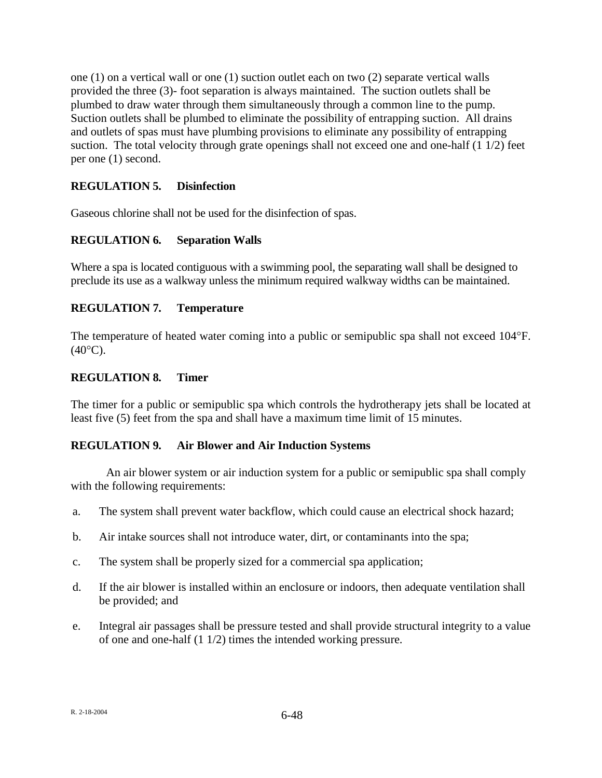one (1) on a vertical wall or one (1) suction outlet each on two (2) separate vertical walls provided the three (3)- foot separation is always maintained. The suction outlets shall be plumbed to draw water through them simultaneously through a common line to the pump. Suction outlets shall be plumbed to eliminate the possibility of entrapping suction. All drains and outlets of spas must have plumbing provisions to eliminate any possibility of entrapping suction. The total velocity through grate openings shall not exceed one and one-half (1 1/2) feet per one (1) second.

# **REGULATION 5. Disinfection**

Gaseous chlorine shall not be used for the disinfection of spas.

# **REGULATION 6. Separation Walls**

Where a spa is located contiguous with a swimming pool, the separating wall shall be designed to preclude its use as a walkway unless the minimum required walkway widths can be maintained.

# **REGULATION 7. Temperature**

The temperature of heated water coming into a public or semipublic spa shall not exceed 104°F.  $(40^{\circ}C)$ .

## **REGULATION 8. Timer**

The timer for a public or semipublic spa which controls the hydrotherapy jets shall be located at least five (5) feet from the spa and shall have a maximum time limit of 15 minutes.

# **REGULATION 9. Air Blower and Air Induction Systems**

An air blower system or air induction system for a public or semipublic spa shall comply with the following requirements:

- a. The system shall prevent water backflow, which could cause an electrical shock hazard;
- b. Air intake sources shall not introduce water, dirt, or contaminants into the spa;
- c. The system shall be properly sized for a commercial spa application;
- d. If the air blower is installed within an enclosure or indoors, then adequate ventilation shall be provided; and
- e. Integral air passages shall be pressure tested and shall provide structural integrity to a value of one and one-half (1 1/2) times the intended working pressure.